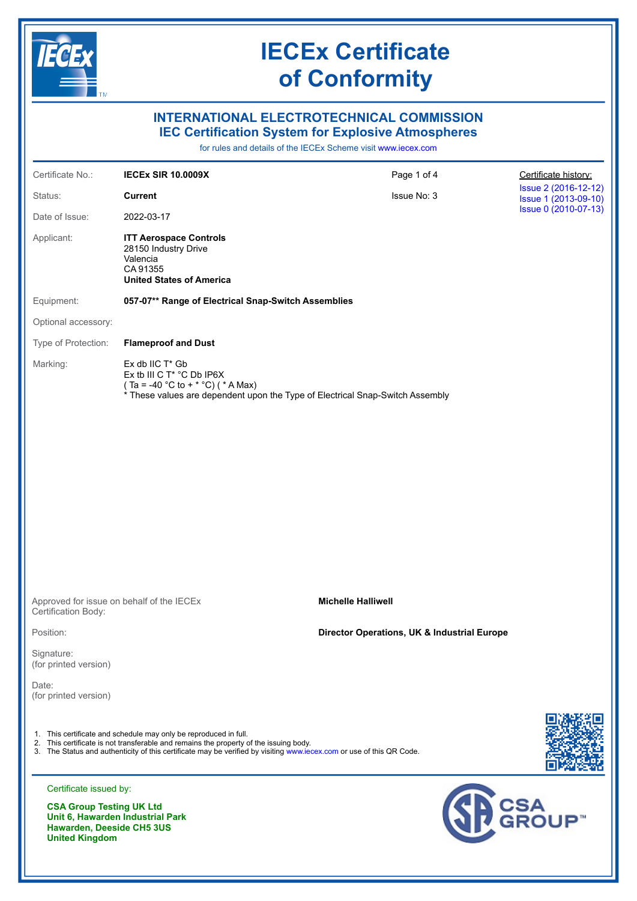

### **INTERNATIONAL ELECTROTECHNICAL COMMISSION IEC Certification System for Explosive Atmospheres**

for rules and details of the IECEx Scheme visit [www.iecex.com](https://www.iecex.com)

| Certificate No.:                                              | <b>IECEX SIR 10.0009X</b>                                                                                                                                                                                                                                                         | Page 1 of 4                                 | Certificate history:                         |
|---------------------------------------------------------------|-----------------------------------------------------------------------------------------------------------------------------------------------------------------------------------------------------------------------------------------------------------------------------------|---------------------------------------------|----------------------------------------------|
| Status:                                                       | <b>Current</b>                                                                                                                                                                                                                                                                    | Issue No: 3                                 | Issue 2 (2016-12-12)<br>Issue 1 (2013-09-10) |
| Date of Issue:                                                | 2022-03-17                                                                                                                                                                                                                                                                        |                                             | Issue 0 (2010-07-13)                         |
| Applicant:                                                    | <b>ITT Aerospace Controls</b><br>28150 Industry Drive<br>Valencia<br>CA 91355<br><b>United States of America</b>                                                                                                                                                                  |                                             |                                              |
| Equipment:                                                    | 057-07** Range of Electrical Snap-Switch Assemblies                                                                                                                                                                                                                               |                                             |                                              |
| Optional accessory:                                           |                                                                                                                                                                                                                                                                                   |                                             |                                              |
| Type of Protection:                                           | <b>Flameproof and Dust</b>                                                                                                                                                                                                                                                        |                                             |                                              |
| Marking:                                                      | $Ex$ db IIC $T^*$ Gb<br>Ex tb III C T* °C Db IP6X<br>$(Ta = -40 °C to + * °C)$ ( * A Max)<br>* These values are dependent upon the Type of Electrical Snap-Switch Assembly                                                                                                        |                                             |                                              |
|                                                               |                                                                                                                                                                                                                                                                                   |                                             |                                              |
|                                                               |                                                                                                                                                                                                                                                                                   |                                             |                                              |
|                                                               |                                                                                                                                                                                                                                                                                   |                                             |                                              |
|                                                               |                                                                                                                                                                                                                                                                                   |                                             |                                              |
|                                                               |                                                                                                                                                                                                                                                                                   |                                             |                                              |
|                                                               |                                                                                                                                                                                                                                                                                   |                                             |                                              |
|                                                               |                                                                                                                                                                                                                                                                                   |                                             |                                              |
| Certification Body:                                           | Approved for issue on behalf of the IECEx                                                                                                                                                                                                                                         | <b>Michelle Halliwell</b>                   |                                              |
| Position:                                                     |                                                                                                                                                                                                                                                                                   | Director Operations, UK & Industrial Europe |                                              |
| Signature:<br>(for printed version)                           |                                                                                                                                                                                                                                                                                   |                                             |                                              |
| Date:<br>(for printed version)                                |                                                                                                                                                                                                                                                                                   |                                             |                                              |
|                                                               | 1. This certificate and schedule may only be reproduced in full.<br>2. This certificate is not transferable and remains the property of the issuing body.<br>3. The Status and authenticity of this certificate may be verified by visiting www.iecex.com or use of this QR Code. |                                             |                                              |
| Certificate issued by:                                        |                                                                                                                                                                                                                                                                                   |                                             |                                              |
| <b>CSA Group Testing UK Ltd</b><br>Hawardon, Doosido CH5 3119 | Unit 6, Hawarden Industrial Park                                                                                                                                                                                                                                                  |                                             | SH CSA UP                                    |

CH5 3**ບ**ຮ **United Kingdom**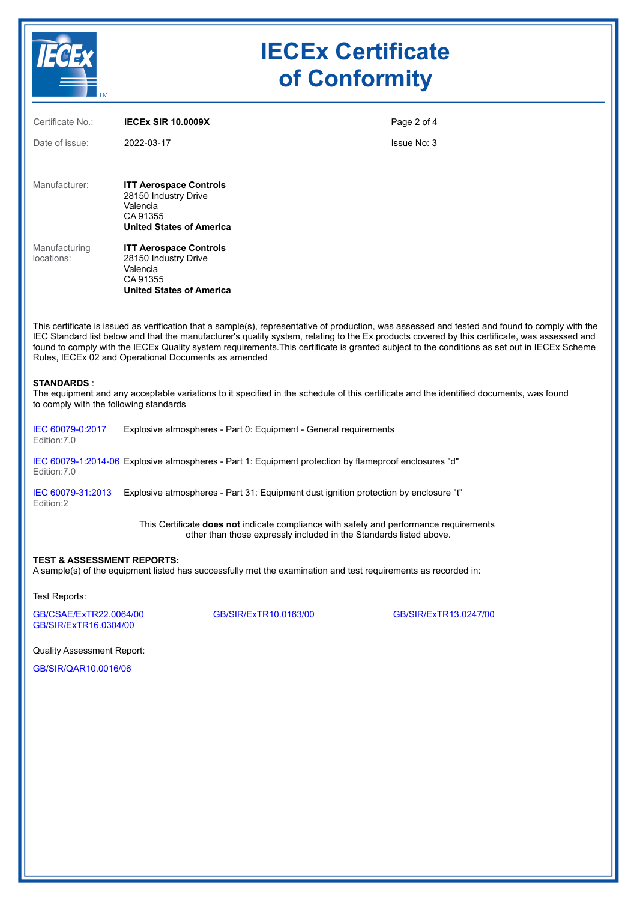

| Certificate No.:            | <b>IECEX SIR 10.0009X</b>                                                                                        | Page 2 of 4 |
|-----------------------------|------------------------------------------------------------------------------------------------------------------|-------------|
| Date of issue:              | 2022-03-17                                                                                                       | Issue No: 3 |
| Manufacturer:               | <b>ITT Aerospace Controls</b><br>28150 Industry Drive<br>Valencia<br>CA 91355<br><b>United States of America</b> |             |
| Manufacturing<br>locations: | <b>ITT Aerospace Controls</b><br>28150 Industry Drive<br>Valencia<br>CA 91355<br><b>United States of America</b> |             |
| —                           |                                                                                                                  | .           |

This certificate is issued as verification that a sample(s), representative of production, was assessed and tested and found to comply with the IEC Standard list below and that the manufacturer's quality system, relating to the Ex products covered by this certificate, was assessed and found to comply with the IECEx Quality system requirements.This certificate is granted subject to the conditions as set out in IECEx Scheme Rules, IECEx 02 and Operational Documents as amended

#### **STANDARDS** :

The equipment and any acceptable variations to it specified in the schedule of this certificate and the identified documents, was found to comply with the following standards

[IEC 60079-0:2017](https://webstore.iec.ch/publication/32878)  Edition:7.0 Explosive atmospheres - Part 0: Equipment - General requirements

[IEC 60079-1:2014-06](https://webstore.iec.ch/publication/621)  Explosive atmospheres - Part 1: Equipment protection by flameproof enclosures "d" Edition:7.0

[IEC 60079-31:2013](https://webstore.iec.ch/publication/650)  Explosive atmospheres - Part 31: Equipment dust ignition protection by enclosure "t" Edition:2

> This Certificate **does not** indicate compliance with safety and performance requirements other than those expressly included in the Standards listed above.

#### **TEST & ASSESSMENT REPORTS:**

A sample(s) of the equipment listed has successfully met the examination and test requirements as recorded in:

Test Reports:

[GB/CSAE/ExTR22.0064/00](https://www.iecex-certs.com/#/deliverables/REPORT/82237/view) [GB/SIR/ExTR10.0163/00](https://www.iecex-certs.com/#/deliverables/REPORT/24684/view) [GB/SIR/ExTR13.0247/00](https://www.iecex-certs.com/#/deliverables/REPORT/26690/view) [GB/SIR/ExTR16.0304/00](https://www.iecex-certs.com/#/deliverables/REPORT/26927/view)

Quality Assessment Report:

[GB/SIR/QAR10.0016/06](https://www.iecex-certs.com/#/deliverables/REPORT/79292/view)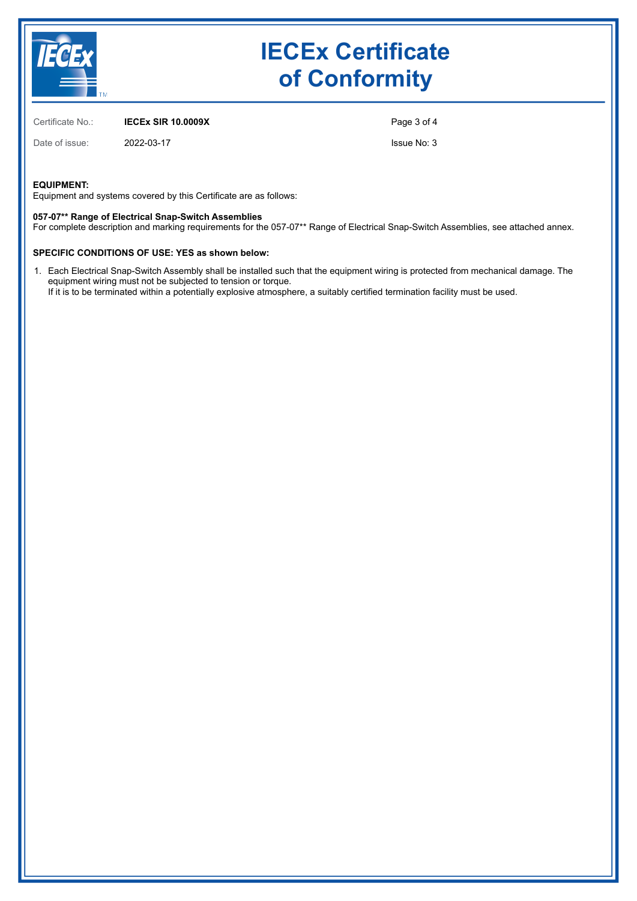

Certificate No.: **IECEx SIR 10.0009X**

Date of issue: 2022-03-17

Issue No: 3

Page 3 of 4

#### **EQUIPMENT:**

Equipment and systems covered by this Certificate are as follows:

#### **057-07\*\* Range of Electrical Snap-Switch Assemblies**

For complete description and marking requirements for the 057-07\*\* Range of Electrical Snap-Switch Assemblies, see attached annex.

#### **SPECIFIC CONDITIONS OF USE: YES as shown below:**

1. Each Electrical Snap-Switch Assembly shall be installed such that the equipment wiring is protected from mechanical damage. The equipment wiring must not be subjected to tension or torque. If it is to be terminated within a potentially explosive atmosphere, a suitably certified termination facility must be used.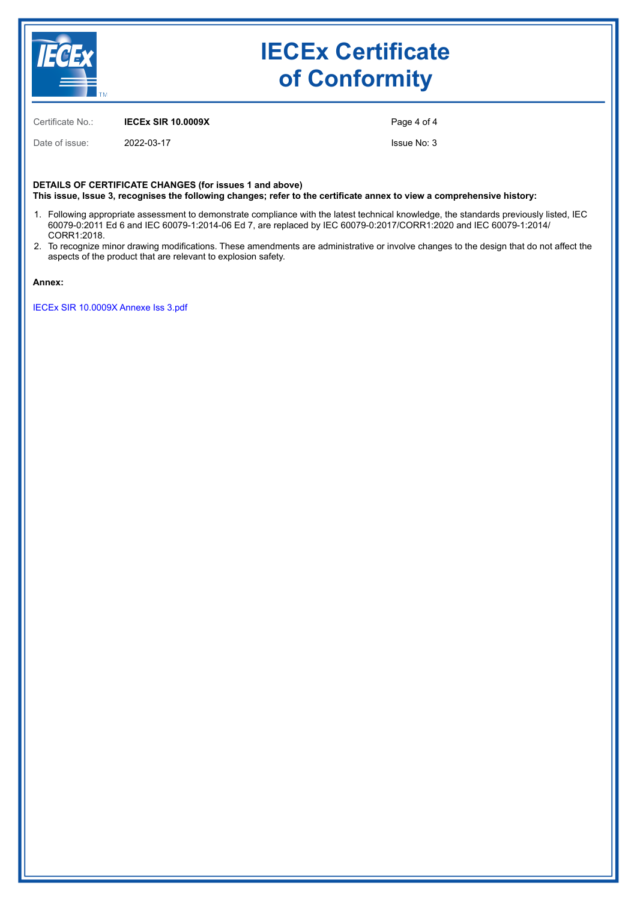

Certificate No.: **IECEx SIR 10.0009X**

Date of issue: 2022-03-17

Page 4 of 4

Issue No: 3

**DETAILS OF CERTIFICATE CHANGES (for issues 1 and above) This issue, Issue 3, recognises the following changes; refer to the certificate annex to view a comprehensive history:**

- 1. Following appropriate assessment to demonstrate compliance with the latest technical knowledge, the standards previously listed, IEC 60079-0:2011 Ed 6 and IEC 60079-1:2014-06 Ed 7, are replaced by IEC 60079-0:2017/CORR1:2020 and IEC 60079-1:2014/ CORR1:2018.
- 2. To recognize minor drawing modifications. These amendments are administrative or involve changes to the design that do not affect the aspects of the product that are relevant to explosion safety.

**Annex:**

[IECEx SIR 10.0009X Annexe Iss 3.pdf](https://www.iecex-certs.com/#/deliverables/CERT/60064/view)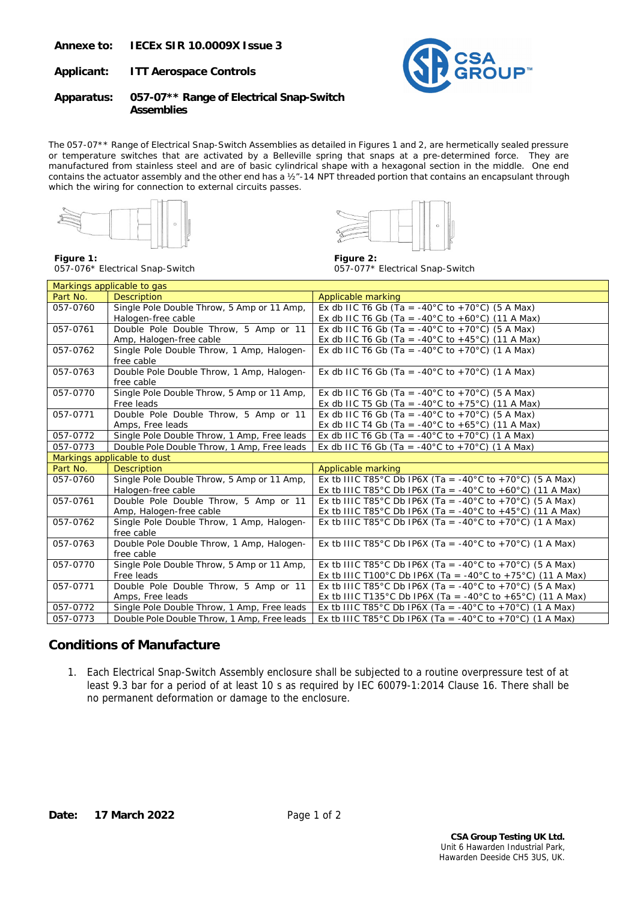**Annexe to: IECEx SIR 10.0009X Issue 3** 

**Applicant: ITT Aerospace Controls** 



**Apparatus: 057-07\*\* Range of Electrical Snap-Switch Assemblies** 

The 057-07\*\* Range of Electrical Snap-Switch Assemblies as detailed in Figures 1 and 2, are hermetically sealed pressure or temperature switches that are activated by a Belleville spring that snaps at a pre-determined force. They are manufactured from stainless steel and are of basic cylindrical shape with a hexagonal section in the middle. One end contains the actuator assembly and the other end has a  $\frac{1}{2}$ -14 NPT threaded portion that contains an encapsulant through which the wiring for connection to external circuits passes.





**Figure 1:**  057-076\* Electrical Snap-Switch

**Figure 2:**  057-077\* Electrical Snap-Switch

| Markings applicable to gas  |                                             |                                                                     |  |  |
|-----------------------------|---------------------------------------------|---------------------------------------------------------------------|--|--|
| Part No.                    | <b>Description</b>                          | <b>Applicable marking</b>                                           |  |  |
| 057-0760                    | Single Pole Double Throw, 5 Amp or 11 Amp,  | Ex db IIC T6 Gb (Ta = -40°C to +70°C) (5 A Max)                     |  |  |
|                             | Halogen-free cable                          | Ex db IIC T6 Gb (Ta = -40°C to +60°C) (11 A Max)                    |  |  |
| 057-0761                    | Double Pole Double Throw, 5 Amp or 11       | Ex db IIC T6 Gb (Ta = -40°C to +70°C) (5 A Max)                     |  |  |
|                             | Amp, Halogen-free cable                     | Ex db IIC T6 Gb (Ta = -40°C to +45°C) (11 A Max)                    |  |  |
| 057-0762                    | Single Pole Double Throw, 1 Amp, Halogen-   | Ex db IIC T6 Gb (Ta = $-40^{\circ}$ C to $+70^{\circ}$ C) (1 A Max) |  |  |
|                             | free cable                                  |                                                                     |  |  |
| 057-0763                    | Double Pole Double Throw, 1 Amp, Halogen-   | Ex db IIC T6 Gb (Ta = -40°C to +70°C) (1 A Max)                     |  |  |
|                             | free cable                                  |                                                                     |  |  |
| 057-0770                    | Single Pole Double Throw, 5 Amp or 11 Amp,  | Ex db IIC T6 Gb (Ta = $-40^{\circ}$ C to $+70^{\circ}$ C) (5 A Max) |  |  |
|                             | Free leads                                  | Ex db IIC T5 Gb (Ta = -40°C to +75°C) (11 A Max)                    |  |  |
| 057-0771                    | Double Pole Double Throw, 5 Amp or 11       | Ex db IIC T6 Gb (Ta = -40°C to +70°C) (5 A Max)                     |  |  |
|                             | Amps, Free leads                            | Ex db IIC T4 Gb (Ta = -40°C to +65°C) (11 A Max)                    |  |  |
| 057-0772                    | Single Pole Double Throw, 1 Amp, Free leads | Ex db IIC T6 Gb (Ta = -40°C to +70°C) (1 A Max)                     |  |  |
| 057-0773                    | Double Pole Double Throw, 1 Amp, Free leads | Ex db IIC T6 Gb (Ta = $-40^{\circ}$ C to $+70^{\circ}$ C) (1 A Max) |  |  |
| Markings applicable to dust |                                             |                                                                     |  |  |
|                             |                                             |                                                                     |  |  |
| Part No.                    | <b>Description</b>                          | <b>Applicable marking</b>                                           |  |  |
| 057-0760                    | Single Pole Double Throw, 5 Amp or 11 Amp,  | Ex tb IIIC T85°C Db IP6X (Ta = -40°C to +70°C) (5 A Max)            |  |  |
|                             | Halogen-free cable                          | Ex tb IIIC T85°C Db IP6X (Ta = -40°C to +60°C) (11 A Max)           |  |  |
| 057-0761                    | Double Pole Double Throw, 5 Amp or 11       | Ex tb IIIC T85°C Db IP6X (Ta = -40°C to +70°C) (5 A Max)            |  |  |
|                             | Amp, Halogen-free cable                     | Ex tb IIIC T85°C Db IP6X (Ta = -40°C to +45°C) (11 A Max)           |  |  |
| 057-0762                    | Single Pole Double Throw, 1 Amp, Halogen-   | Ex tb IIIC T85°C Db IP6X (Ta = -40°C to +70°C) (1 A Max)            |  |  |
|                             | free cable                                  |                                                                     |  |  |
| 057-0763                    | Double Pole Double Throw, 1 Amp, Halogen-   | Ex tb IIIC T85°C Db IP6X (Ta = -40°C to +70°C) (1 A Max)            |  |  |
|                             | free cable                                  |                                                                     |  |  |
| 057-0770                    | Single Pole Double Throw, 5 Amp or 11 Amp,  | Ex tb IIIC T85°C Db IP6X (Ta = -40°C to +70°C) (5 A Max)            |  |  |
|                             | Free leads                                  | Ex tb IIIC T100°C Db IP6X (Ta = -40°C to +75°C) (11 A Max)          |  |  |
| 057-0771                    | Double Pole Double Throw, 5 Amp or 11       | Ex tb IIIC T85°C Db IP6X (Ta = -40°C to +70°C) (5 A Max)            |  |  |
|                             | Amps, Free leads                            | Ex tb IIIC T135°C Db IP6X (Ta = -40°C to +65°C) (11 A Max)          |  |  |
| 057-0772                    | Single Pole Double Throw, 1 Amp, Free leads | Ex tb IIIC T85°C Db IP6X (Ta = -40°C to +70°C) (1 A Max)            |  |  |

### **Conditions of Manufacture**

1. Each Electrical Snap-Switch Assembly enclosure shall be subjected to a routine overpressure test of at least 9.3 bar for a period of at least 10 s as required by IEC 60079-1:2014 Clause 16. There shall be no permanent deformation or damage to the enclosure.